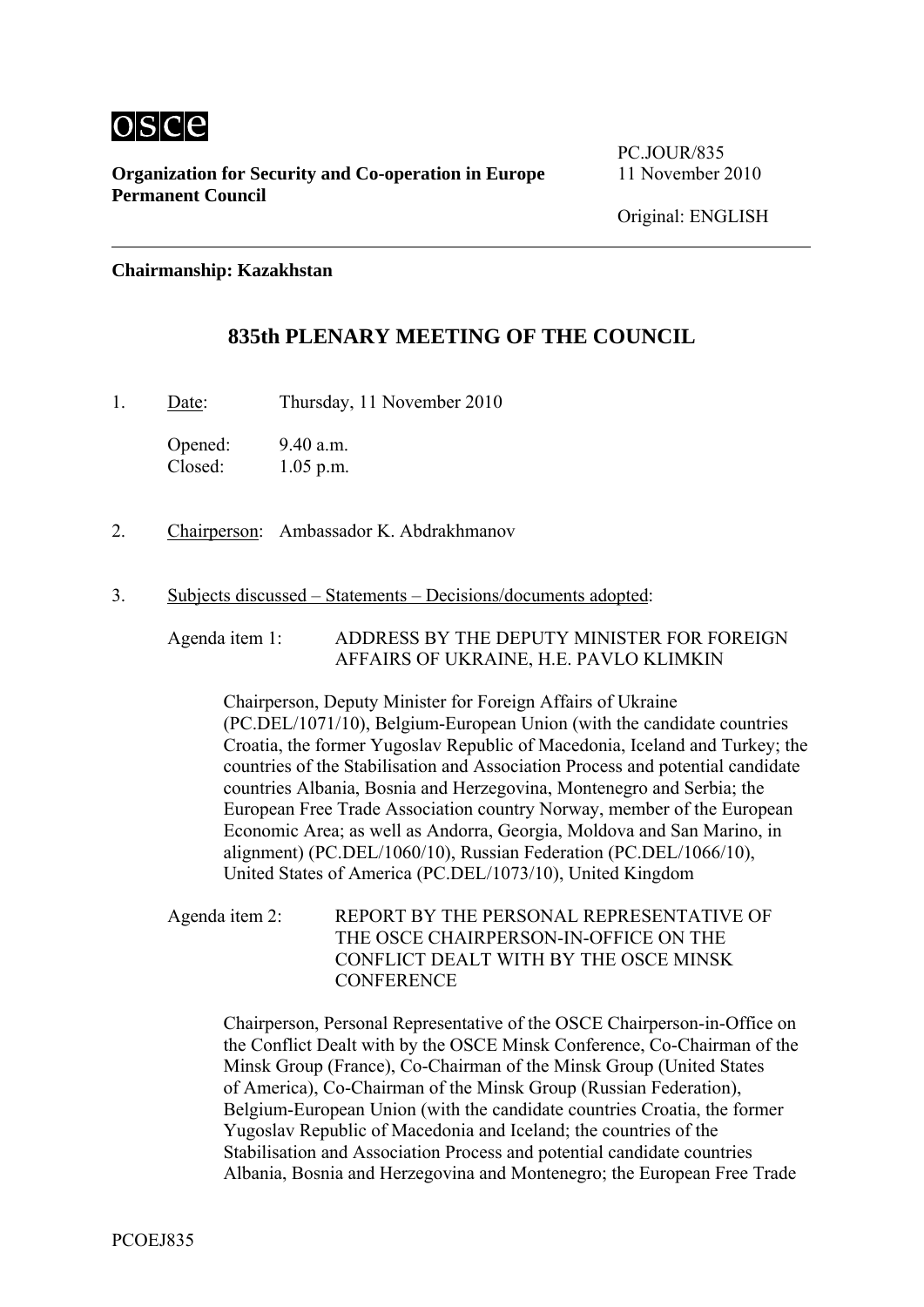

**Organization for Security and Co-operation in Europe** 11 November 2010 **Permanent Council** 

PC.JOUR/835

**Chairmanship: Kazakhstan** 

# **835th PLENARY MEETING OF THE COUNCIL**

1. Date: Thursday, 11 November 2010

Opened: 9.40 a.m. Closed: 1.05 p.m.

- 2. Chairperson: Ambassador K. Abdrakhmanov
- 3. Subjects discussed Statements Decisions/documents adopted:

Agenda item 1: ADDRESS BY THE DEPUTY MINISTER FOR FOREIGN AFFAIRS OF UKRAINE, H.E. PAVLO KLIMKIN

Chairperson, Deputy Minister for Foreign Affairs of Ukraine (PC.DEL/1071/10), Belgium-European Union (with the candidate countries Croatia, the former Yugoslav Republic of Macedonia, Iceland and Turkey; the countries of the Stabilisation and Association Process and potential candidate countries Albania, Bosnia and Herzegovina, Montenegro and Serbia; the European Free Trade Association country Norway, member of the European Economic Area; as well as Andorra, Georgia, Moldova and San Marino, in alignment) (PC.DEL/1060/10), Russian Federation (PC.DEL/1066/10), United States of America (PC.DEL/1073/10), United Kingdom

Agenda item 2: REPORT BY THE PERSONAL REPRESENTATIVE OF THE OSCE CHAIRPERSON-IN-OFFICE ON THE CONFLICT DEALT WITH BY THE OSCE MINSK **CONFERENCE** 

Chairperson, Personal Representative of the OSCE Chairperson-in-Office on the Conflict Dealt with by the OSCE Minsk Conference, Co-Chairman of the Minsk Group (France), Co-Chairman of the Minsk Group (United States of America), Co-Chairman of the Minsk Group (Russian Federation), Belgium-European Union (with the candidate countries Croatia, the former Yugoslav Republic of Macedonia and Iceland; the countries of the Stabilisation and Association Process and potential candidate countries Albania, Bosnia and Herzegovina and Montenegro; the European Free Trade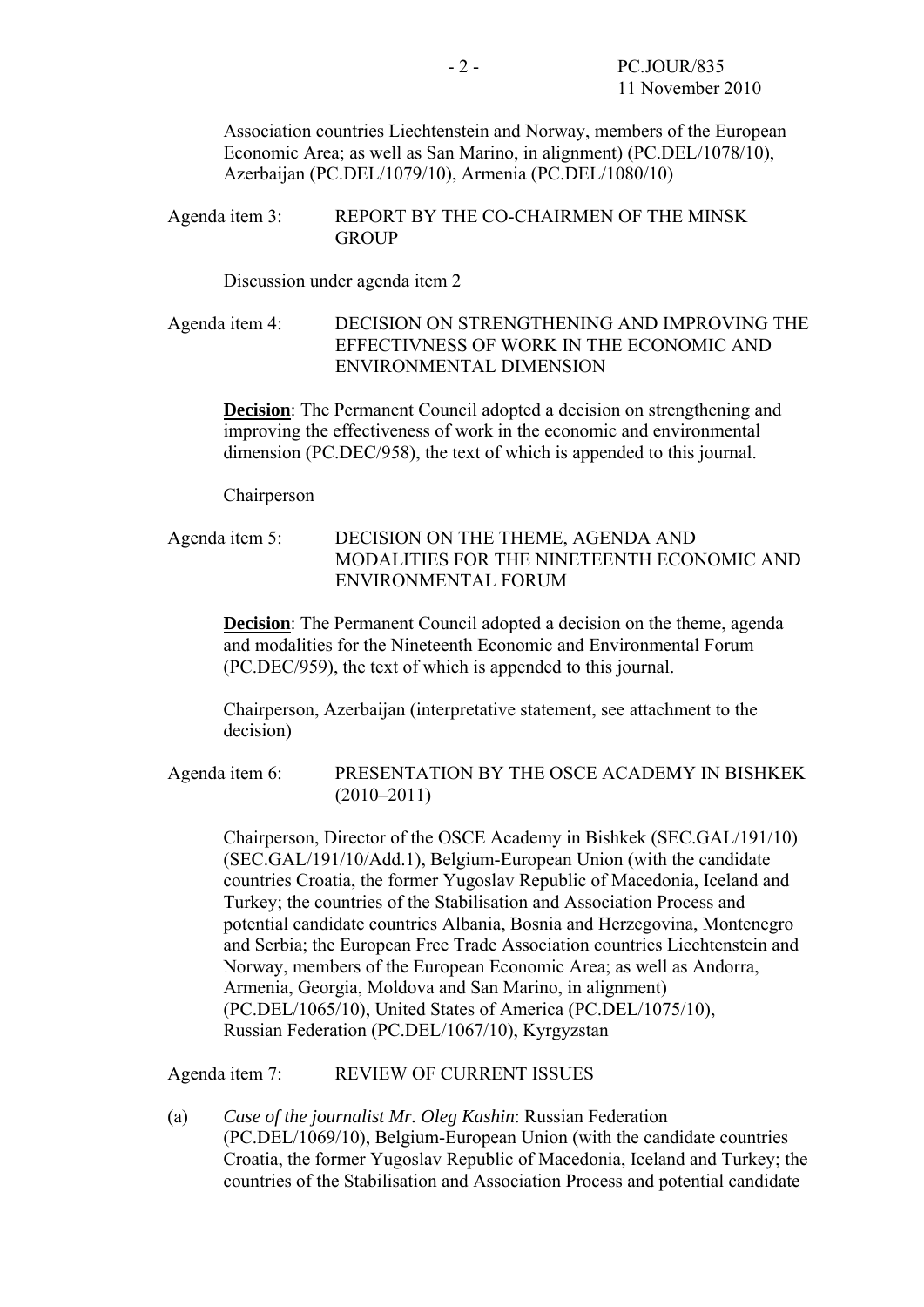Association countries Liechtenstein and Norway, members of the European Economic Area; as well as San Marino, in alignment) (PC.DEL/1078/10), Azerbaijan (PC.DEL/1079/10), Armenia (PC.DEL/1080/10)

Agenda item 3: REPORT BY THE CO-CHAIRMEN OF THE MINSK **GROUP** 

Discussion under agenda item 2

Agenda item 4: DECISION ON STRENGTHENING AND IMPROVING THE EFFECTIVNESS OF WORK IN THE ECONOMIC AND ENVIRONMENTAL DIMENSION

**Decision**: The Permanent Council adopted a decision on strengthening and improving the effectiveness of work in the economic and environmental dimension (PC.DEC/958), the text of which is appended to this journal.

Chairperson

Agenda item 5: DECISION ON THE THEME, AGENDA AND MODALITIES FOR THE NINETEENTH ECONOMIC AND ENVIRONMENTAL FORUM

**Decision**: The Permanent Council adopted a decision on the theme, agenda and modalities for the Nineteenth Economic and Environmental Forum (PC.DEC/959), the text of which is appended to this journal.

Chairperson, Azerbaijan (interpretative statement, see attachment to the decision)

Agenda item 6: PRESENTATION BY THE OSCE ACADEMY IN BISHKEK (2010–2011)

Chairperson, Director of the OSCE Academy in Bishkek (SEC.GAL/191/10) (SEC.GAL/191/10/Add.1), Belgium-European Union (with the candidate countries Croatia, the former Yugoslav Republic of Macedonia, Iceland and Turkey; the countries of the Stabilisation and Association Process and potential candidate countries Albania, Bosnia and Herzegovina, Montenegro and Serbia; the European Free Trade Association countries Liechtenstein and Norway, members of the European Economic Area; as well as Andorra, Armenia, Georgia, Moldova and San Marino, in alignment) (PC.DEL/1065/10), United States of America (PC.DEL/1075/10), Russian Federation (PC.DEL/1067/10), Kyrgyzstan

Agenda item 7: REVIEW OF CURRENT ISSUES

(a) *Case of the journalist Mr. Oleg Kashin*: Russian Federation (PC.DEL/1069/10), Belgium-European Union (with the candidate countries Croatia, the former Yugoslav Republic of Macedonia, Iceland and Turkey; the countries of the Stabilisation and Association Process and potential candidate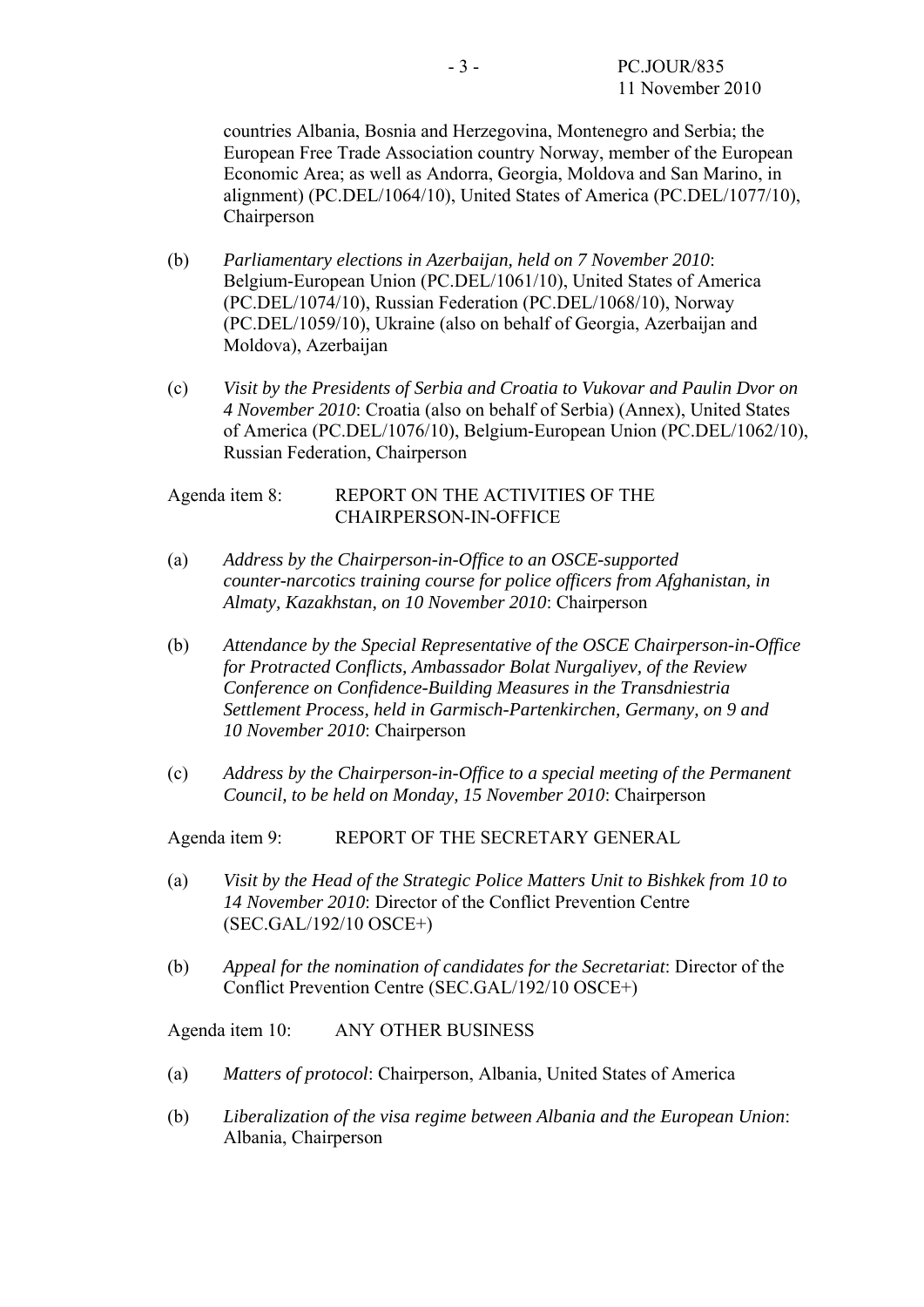countries Albania, Bosnia and Herzegovina, Montenegro and Serbia; the European Free Trade Association country Norway, member of the European Economic Area; as well as Andorra, Georgia, Moldova and San Marino, in alignment) (PC.DEL/1064/10), United States of America (PC.DEL/1077/10), Chairperson

- (b) *Parliamentary elections in Azerbaijan, held on 7 November 2010*: Belgium-European Union (PC.DEL/1061/10), United States of America (PC.DEL/1074/10), Russian Federation (PC.DEL/1068/10), Norway (PC.DEL/1059/10), Ukraine (also on behalf of Georgia, Azerbaijan and Moldova), Azerbaijan
- (c) *Visit by the Presidents of Serbia and Croatia to Vukovar and Paulin Dvor on 4 November 2010*: Croatia (also on behalf of Serbia) (Annex), United States of America (PC.DEL/1076/10), Belgium-European Union (PC.DEL/1062/10), Russian Federation, Chairperson

#### Agenda item 8: REPORT ON THE ACTIVITIES OF THE CHAIRPERSON-IN-OFFICE

- (a) *Address by the Chairperson-in-Office to an OSCE-supported counter-narcotics training course for police officers from Afghanistan, in Almaty, Kazakhstan, on 10 November 2010*: Chairperson
- (b) *Attendance by the Special Representative of the OSCE Chairperson-in-Office for Protracted Conflicts, Ambassador Bolat Nurgaliyev, of the Review Conference on Confidence-Building Measures in the Transdniestria Settlement Process, held in Garmisch-Partenkirchen, Germany, on 9 and 10 November 2010*: Chairperson
- (c) *Address by the Chairperson-in-Office to a special meeting of the Permanent Council, to be held on Monday, 15 November 2010*: Chairperson

Agenda item 9: REPORT OF THE SECRETARY GENERAL

- (a) *Visit by the Head of the Strategic Police Matters Unit to Bishkek from 10 to 14 November 2010*: Director of the Conflict Prevention Centre (SEC.GAL/192/10 OSCE+)
- (b) *Appeal for the nomination of candidates for the Secretariat*: Director of the Conflict Prevention Centre (SEC.GAL/192/10 OSCE+)

Agenda item 10: ANY OTHER BUSINESS

- (a) *Matters of protocol*: Chairperson, Albania, United States of America
- (b) *Liberalization of the visa regime between Albania and the European Union*: Albania, Chairperson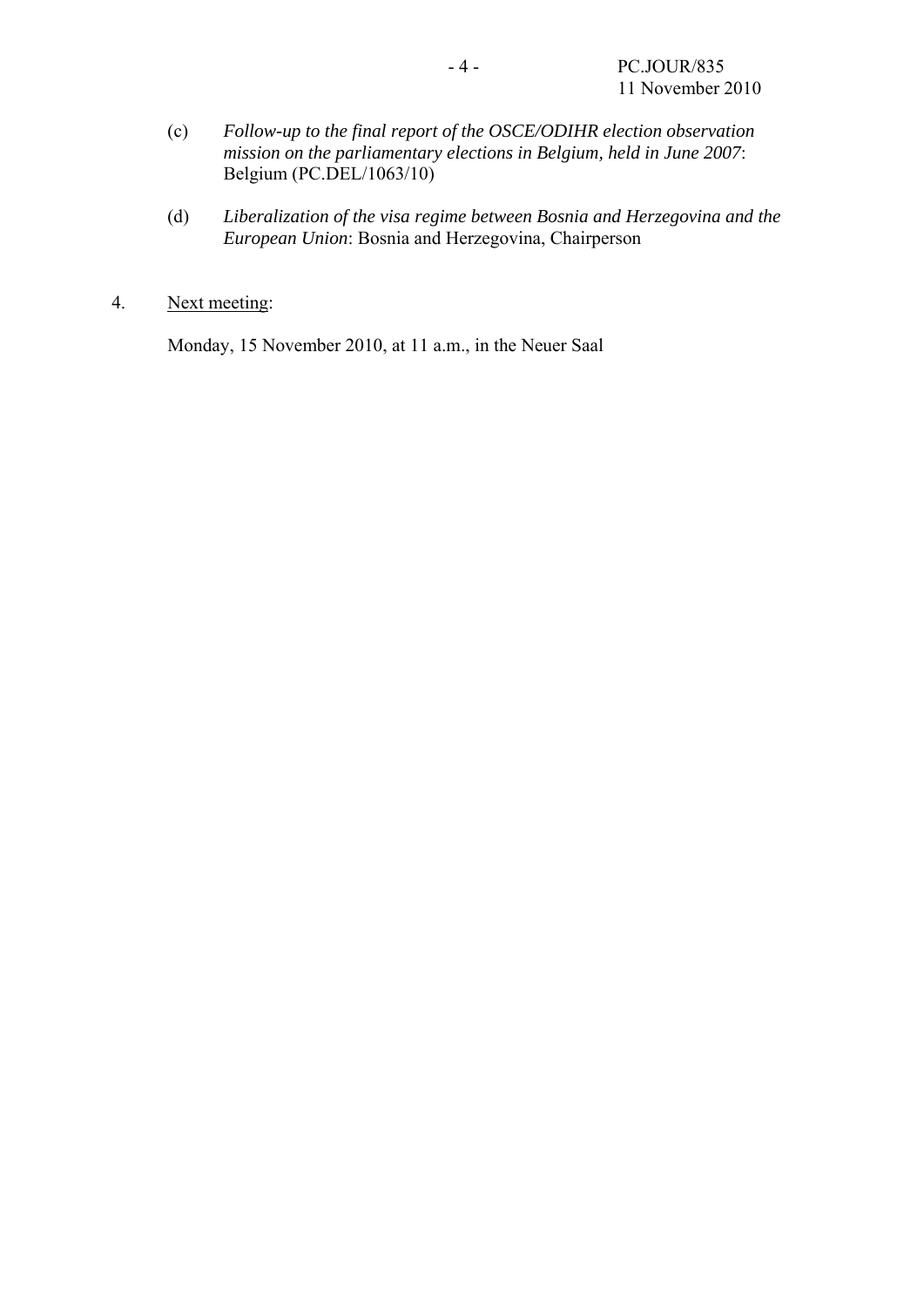- (c) *Follow-up to the final report of the OSCE/ODIHR election observation mission on the parliamentary elections in Belgium, held in June 2007*: Belgium (PC.DEL/1063/10)
- (d) *Liberalization of the visa regime between Bosnia and Herzegovina and the European Union*: Bosnia and Herzegovina, Chairperson
- 4. Next meeting:

Monday, 15 November 2010, at 11 a.m., in the Neuer Saal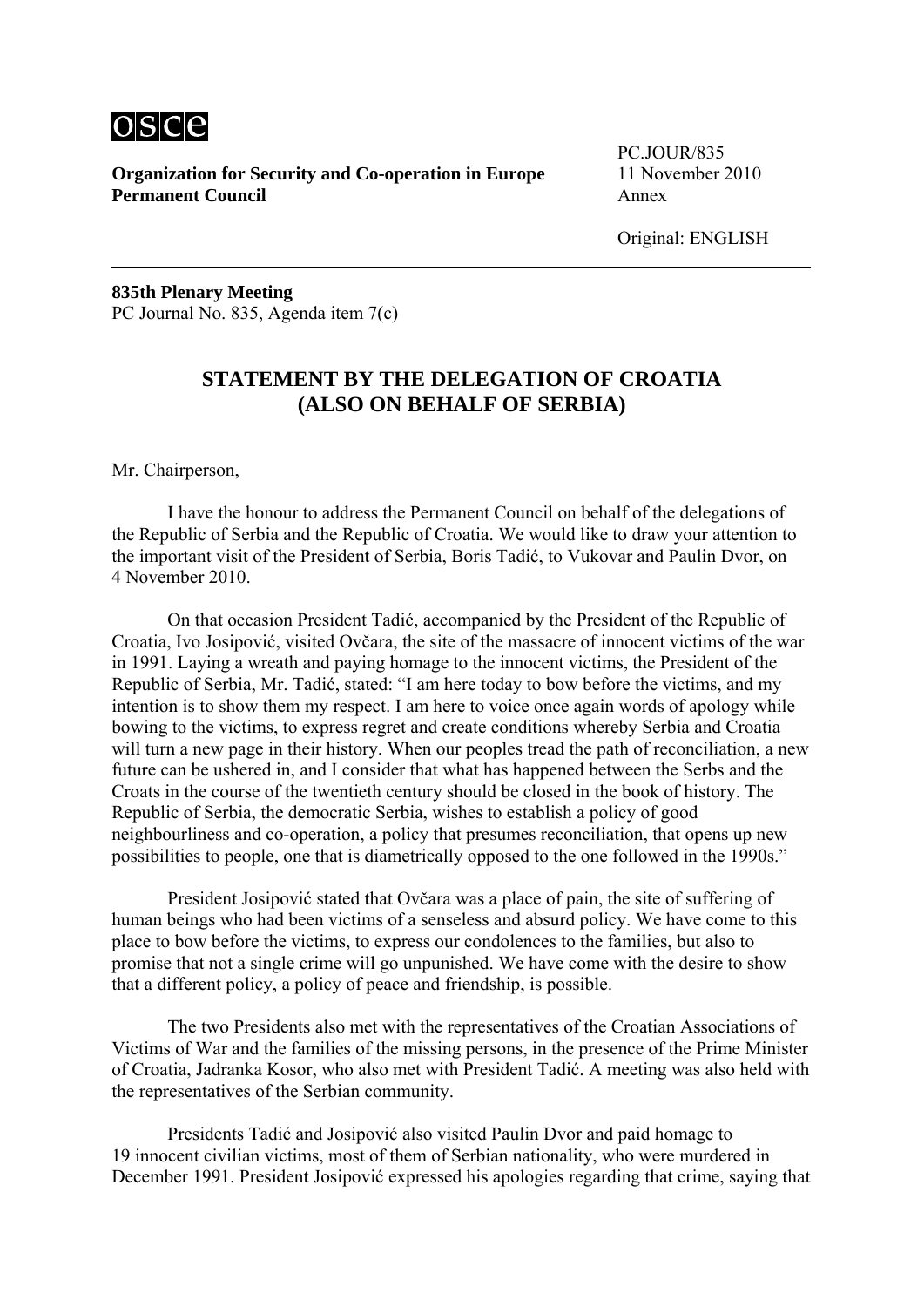

**Organization for Security and Co-operation in Europe** 11 November 2010 **Permanent Council Annex** 

PC.JOUR/835

Original: ENGLISH

**835th Plenary Meeting**  PC Journal No. 835, Agenda item 7(c)

## **STATEMENT BY THE DELEGATION OF CROATIA (ALSO ON BEHALF OF SERBIA)**

Mr. Chairperson,

 I have the honour to address the Permanent Council on behalf of the delegations of the Republic of Serbia and the Republic of Croatia. We would like to draw your attention to the important visit of the President of Serbia, Boris Tadić, to Vukovar and Paulin Dvor, on 4 November 2010.

 On that occasion President Tadić, accompanied by the President of the Republic of Croatia, Ivo Josipović, visited Ovčara, the site of the massacre of innocent victims of the war in 1991. Laying a wreath and paying homage to the innocent victims, the President of the Republic of Serbia, Mr. Tadić, stated: "I am here today to bow before the victims, and my intention is to show them my respect. I am here to voice once again words of apology while bowing to the victims, to express regret and create conditions whereby Serbia and Croatia will turn a new page in their history. When our peoples tread the path of reconciliation, a new future can be ushered in, and I consider that what has happened between the Serbs and the Croats in the course of the twentieth century should be closed in the book of history. The Republic of Serbia, the democratic Serbia, wishes to establish a policy of good neighbourliness and co-operation, a policy that presumes reconciliation, that opens up new possibilities to people, one that is diametrically opposed to the one followed in the 1990s."

 President Josipović stated that Ovčara was a place of pain, the site of suffering of human beings who had been victims of a senseless and absurd policy. We have come to this place to bow before the victims, to express our condolences to the families, but also to promise that not a single crime will go unpunished. We have come with the desire to show that a different policy, a policy of peace and friendship, is possible.

 The two Presidents also met with the representatives of the Croatian Associations of Victims of War and the families of the missing persons, in the presence of the Prime Minister of Croatia, Jadranka Kosor, who also met with President Tadić. A meeting was also held with the representatives of the Serbian community.

 Presidents Tadić and Josipović also visited Paulin Dvor and paid homage to 19 innocent civilian victims, most of them of Serbian nationality, who were murdered in December 1991. President Josipović expressed his apologies regarding that crime, saying that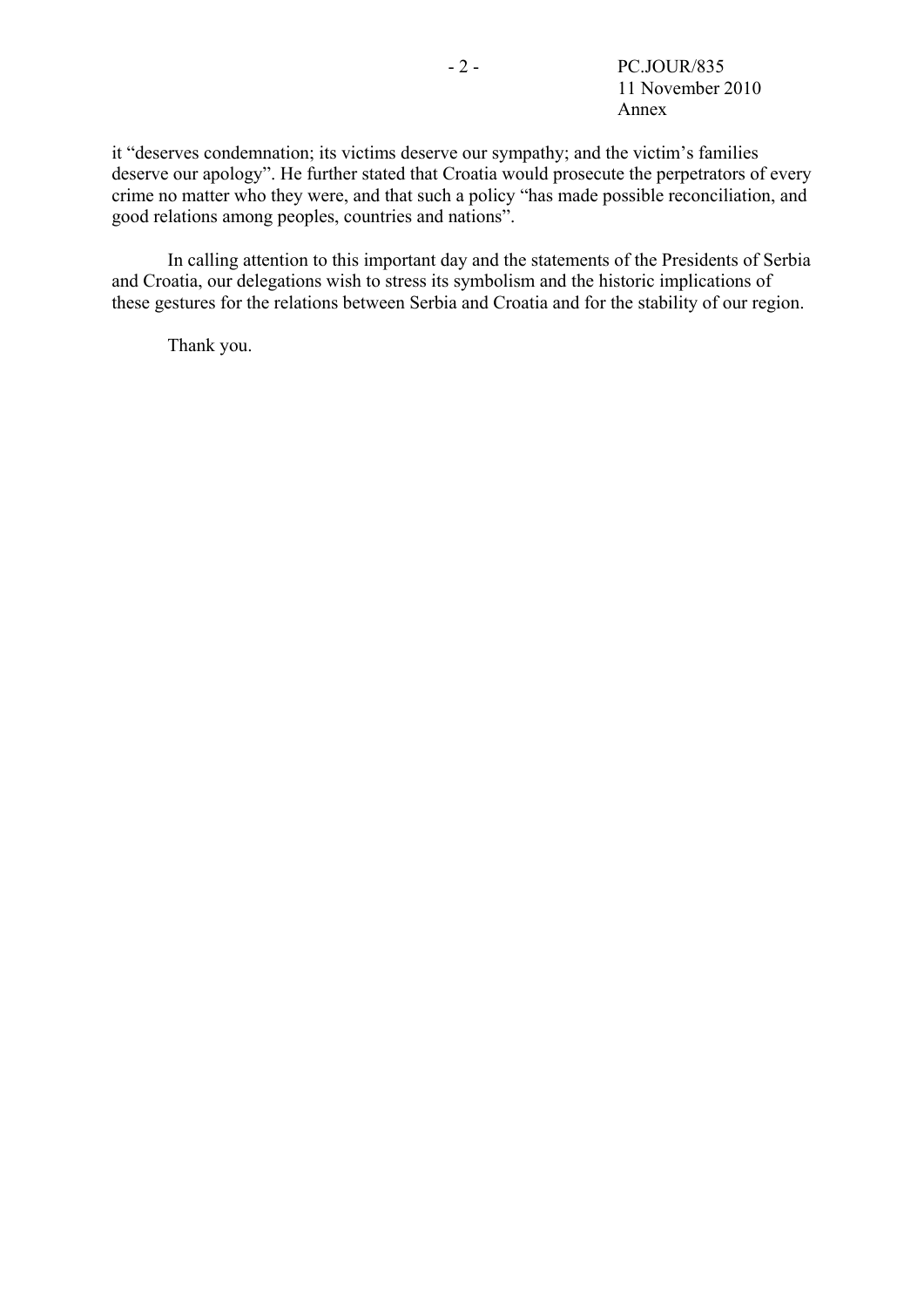it "deserves condemnation; its victims deserve our sympathy; and the victim's families deserve our apology". He further stated that Croatia would prosecute the perpetrators of every crime no matter who they were, and that such a policy "has made possible reconciliation, and good relations among peoples, countries and nations".

 In calling attention to this important day and the statements of the Presidents of Serbia and Croatia, our delegations wish to stress its symbolism and the historic implications of these gestures for the relations between Serbia and Croatia and for the stability of our region.

Thank you.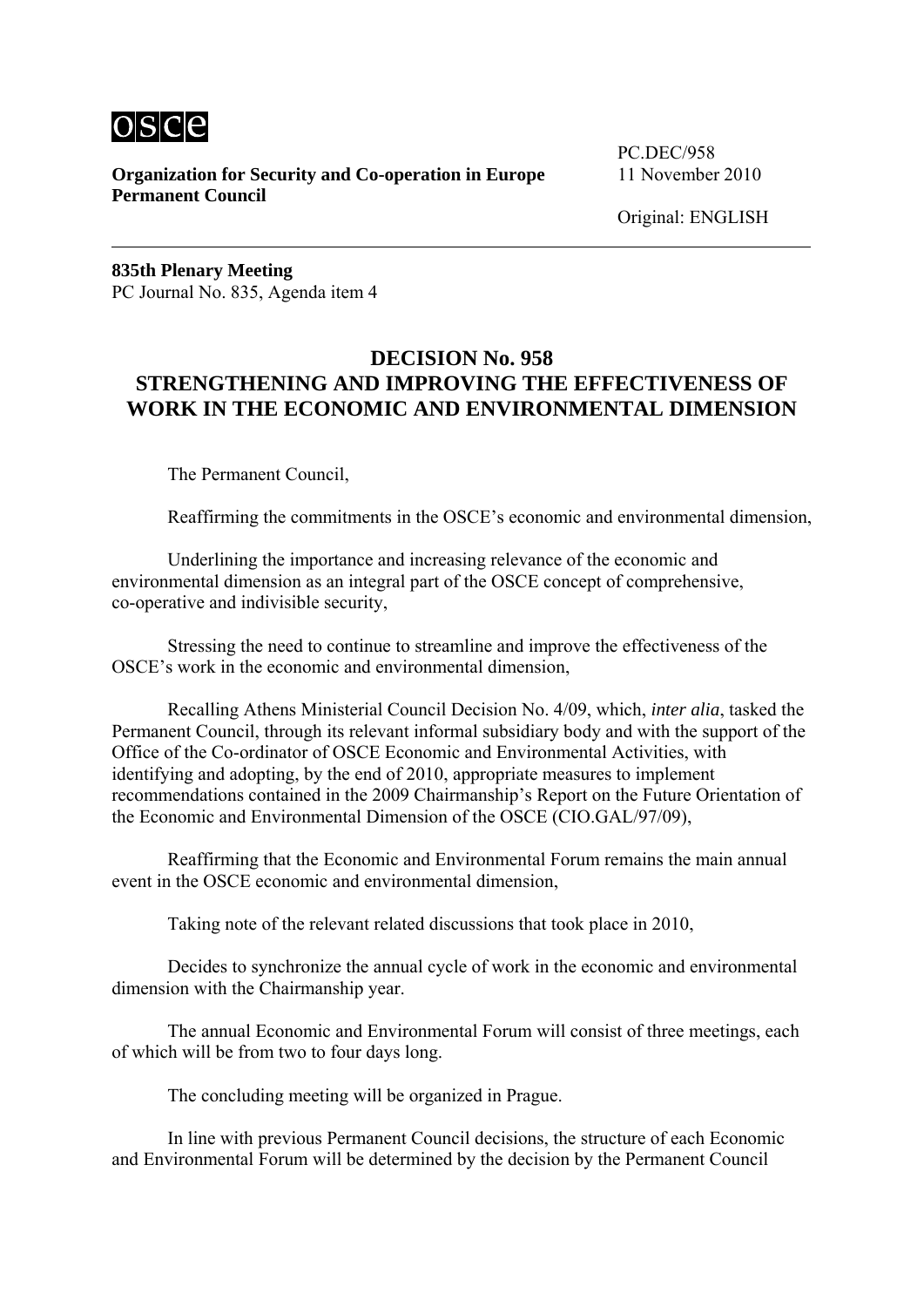

**Organization for Security and Co-operation in Europe** 11 November 2010 **Permanent Council** 

PC.DEC/958

Original: ENGLISH

**835th Plenary Meeting**  PC Journal No. 835, Agenda item 4

## **DECISION No. 958 STRENGTHENING AND IMPROVING THE EFFECTIVENESS OF WORK IN THE ECONOMIC AND ENVIRONMENTAL DIMENSION**

The Permanent Council,

Reaffirming the commitments in the OSCE's economic and environmental dimension,

 Underlining the importance and increasing relevance of the economic and environmental dimension as an integral part of the OSCE concept of comprehensive, co-operative and indivisible security,

 Stressing the need to continue to streamline and improve the effectiveness of the OSCE's work in the economic and environmental dimension,

 Recalling Athens Ministerial Council Decision No. 4/09, which, *inter alia*, tasked the Permanent Council, through its relevant informal subsidiary body and with the support of the Office of the Co-ordinator of OSCE Economic and Environmental Activities, with identifying and adopting, by the end of 2010, appropriate measures to implement recommendations contained in the 2009 Chairmanship's Report on the Future Orientation of the Economic and Environmental Dimension of the OSCE (CIO.GAL/97/09),

 Reaffirming that the Economic and Environmental Forum remains the main annual event in the OSCE economic and environmental dimension

Taking note of the relevant related discussions that took place in 2010,

 Decides to synchronize the annual cycle of work in the economic and environmental dimension with the Chairmanship year.

 The annual Economic and Environmental Forum will consist of three meetings, each of which will be from two to four days long.

The concluding meeting will be organized in Prague.

 In line with previous Permanent Council decisions, the structure of each Economic and Environmental Forum will be determined by the decision by the Permanent Council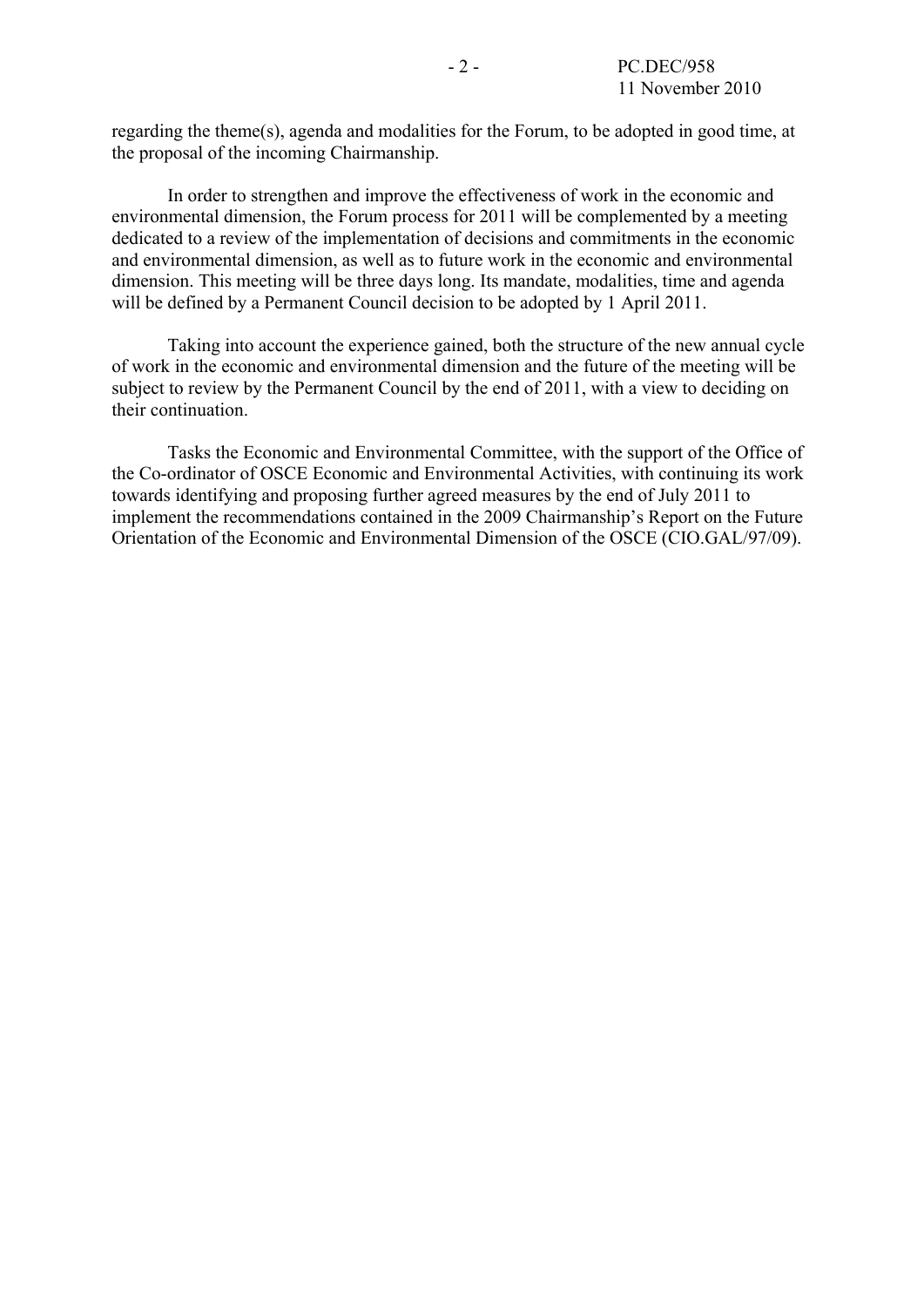regarding the theme(s), agenda and modalities for the Forum, to be adopted in good time, at the proposal of the incoming Chairmanship.

 In order to strengthen and improve the effectiveness of work in the economic and environmental dimension, the Forum process for 2011 will be complemented by a meeting dedicated to a review of the implementation of decisions and commitments in the economic and environmental dimension, as well as to future work in the economic and environmental dimension. This meeting will be three days long. Its mandate, modalities, time and agenda will be defined by a Permanent Council decision to be adopted by 1 April 2011.

 Taking into account the experience gained, both the structure of the new annual cycle of work in the economic and environmental dimension and the future of the meeting will be subject to review by the Permanent Council by the end of 2011, with a view to deciding on their continuation.

 Tasks the Economic and Environmental Committee, with the support of the Office of the Co-ordinator of OSCE Economic and Environmental Activities, with continuing its work towards identifying and proposing further agreed measures by the end of July 2011 to implement the recommendations contained in the 2009 Chairmanship's Report on the Future Orientation of the Economic and Environmental Dimension of the OSCE (CIO.GAL/97/09).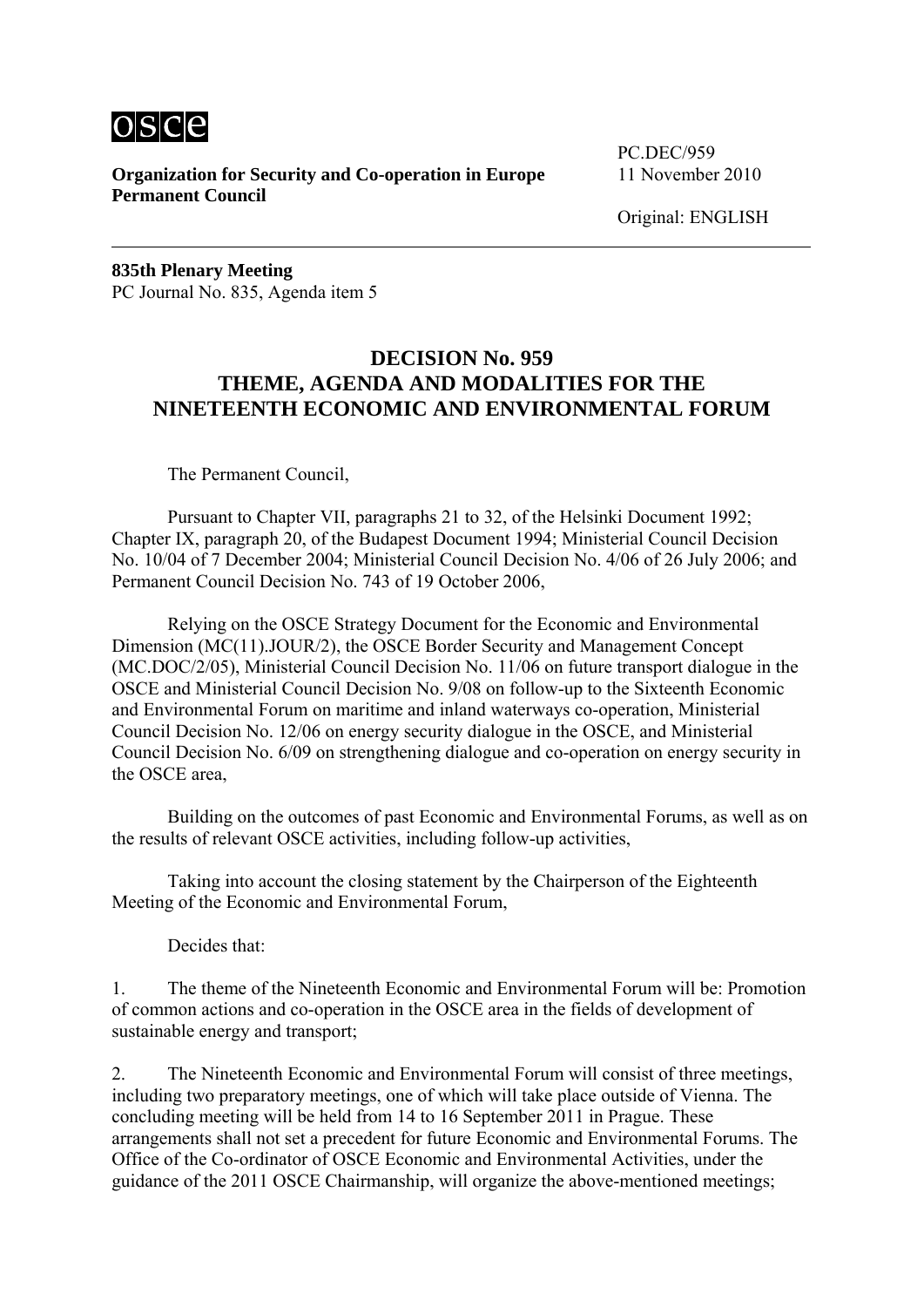

**Organization for Security and Co-operation in Europe** 11 November 2010 **Permanent Council** 

PC.DEC/959

Original: ENGLISH

**835th Plenary Meeting**  PC Journal No. 835, Agenda item 5

#### **DECISION No. 959 THEME, AGENDA AND MODALITIES FOR THE NINETEENTH ECONOMIC AND ENVIRONMENTAL FORUM**

The Permanent Council,

 Pursuant to Chapter VII, paragraphs 21 to 32, of the Helsinki Document 1992; Chapter IX, paragraph 20, of the Budapest Document 1994; Ministerial Council Decision No. 10/04 of 7 December 2004; Ministerial Council Decision No. 4/06 of 26 July 2006; and Permanent Council Decision No. 743 of 19 October 2006,

 Relying on the OSCE Strategy Document for the Economic and Environmental Dimension (MC(11).JOUR/2), the OSCE Border Security and Management Concept (MC.DOC/2/05), Ministerial Council Decision No. 11/06 on future transport dialogue in the OSCE and Ministerial Council Decision No. 9/08 on follow-up to the Sixteenth Economic and Environmental Forum on maritime and inland waterways co-operation, Ministerial Council Decision No. 12/06 on energy security dialogue in the OSCE, and Ministerial Council Decision No. 6/09 on strengthening dialogue and co-operation on energy security in the OSCE area,

 Building on the outcomes of past Economic and Environmental Forums, as well as on the results of relevant OSCE activities, including follow-up activities,

 Taking into account the closing statement by the Chairperson of the Eighteenth Meeting of the Economic and Environmental Forum,

Decides that:

1. The theme of the Nineteenth Economic and Environmental Forum will be: Promotion of common actions and co-operation in the OSCE area in the fields of development of sustainable energy and transport;

2. The Nineteenth Economic and Environmental Forum will consist of three meetings, including two preparatory meetings, one of which will take place outside of Vienna. The concluding meeting will be held from 14 to 16 September 2011 in Prague. These arrangements shall not set a precedent for future Economic and Environmental Forums. The Office of the Co-ordinator of OSCE Economic and Environmental Activities, under the guidance of the 2011 OSCE Chairmanship, will organize the above-mentioned meetings;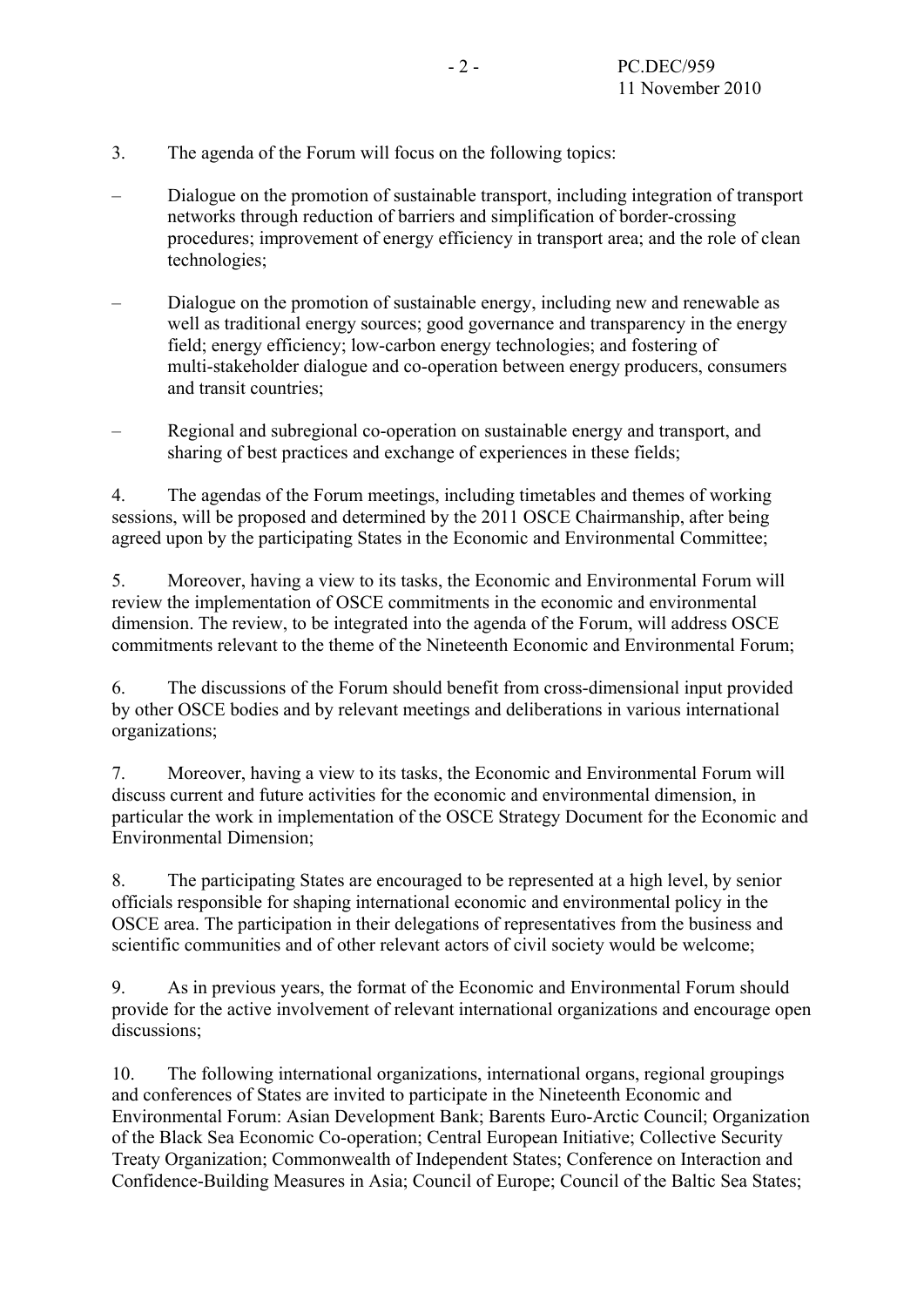- 3. The agenda of the Forum will focus on the following topics:
- Dialogue on the promotion of sustainable transport, including integration of transport networks through reduction of barriers and simplification of border-crossing procedures; improvement of energy efficiency in transport area; and the role of clean technologies;
- Dialogue on the promotion of sustainable energy, including new and renewable as well as traditional energy sources; good governance and transparency in the energy field; energy efficiency; low-carbon energy technologies; and fostering of multi-stakeholder dialogue and co-operation between energy producers, consumers and transit countries;
- Regional and subregional co-operation on sustainable energy and transport, and sharing of best practices and exchange of experiences in these fields;

4. The agendas of the Forum meetings, including timetables and themes of working sessions, will be proposed and determined by the 2011 OSCE Chairmanship, after being agreed upon by the participating States in the Economic and Environmental Committee;

5. Moreover, having a view to its tasks, the Economic and Environmental Forum will review the implementation of OSCE commitments in the economic and environmental dimension. The review, to be integrated into the agenda of the Forum, will address OSCE commitments relevant to the theme of the Nineteenth Economic and Environmental Forum;

6. The discussions of the Forum should benefit from cross-dimensional input provided by other OSCE bodies and by relevant meetings and deliberations in various international organizations;

7. Moreover, having a view to its tasks, the Economic and Environmental Forum will discuss current and future activities for the economic and environmental dimension, in particular the work in implementation of the OSCE Strategy Document for the Economic and Environmental Dimension;

8. The participating States are encouraged to be represented at a high level, by senior officials responsible for shaping international economic and environmental policy in the OSCE area. The participation in their delegations of representatives from the business and scientific communities and of other relevant actors of civil society would be welcome;

9. As in previous years, the format of the Economic and Environmental Forum should provide for the active involvement of relevant international organizations and encourage open discussions:

10. The following international organizations, international organs, regional groupings and conferences of States are invited to participate in the Nineteenth Economic and Environmental Forum: Asian Development Bank; Barents Euro-Arctic Council; Organization of the Black Sea Economic Co-operation; Central European Initiative; Collective Security Treaty Organization; Commonwealth of Independent States; Conference on Interaction and Confidence-Building Measures in Asia; Council of Europe; Council of the Baltic Sea States;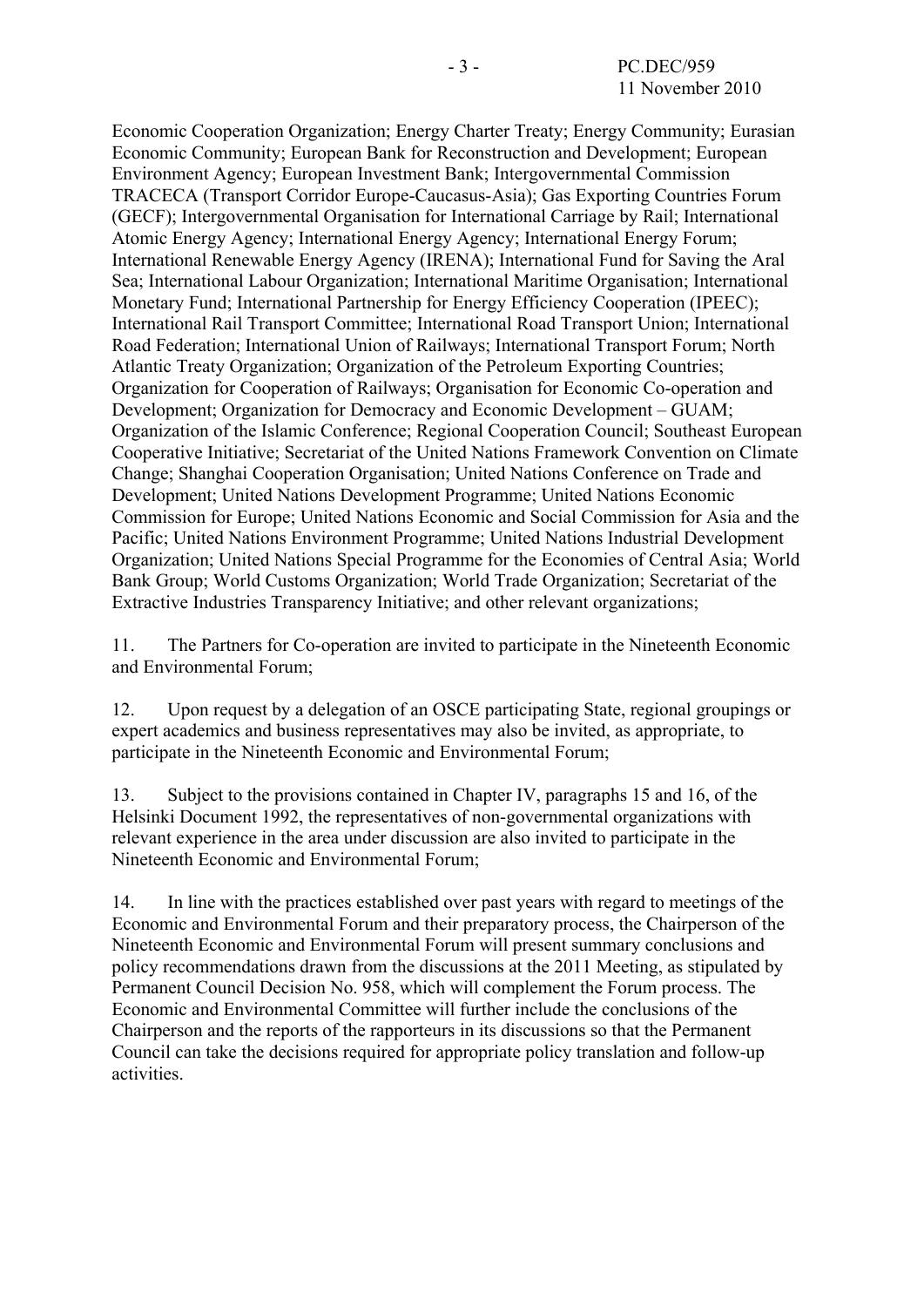Economic Cooperation Organization; Energy Charter Treaty; Energy Community; Eurasian Economic Community; European Bank for Reconstruction and Development; European Environment Agency; European Investment Bank; Intergovernmental Commission TRACECA (Transport Corridor Europe-Caucasus-Asia); Gas Exporting Countries Forum (GECF); Intergovernmental Organisation for International Carriage by Rail; International Atomic Energy Agency; International Energy Agency; International Energy Forum; International Renewable Energy Agency (IRENA); International Fund for Saving the Aral Sea; International Labour Organization; International Maritime Organisation; International Monetary Fund; International Partnership for Energy Efficiency Cooperation (IPEEC); International Rail Transport Committee; International Road Transport Union; International Road Federation; International Union of Railways; International Transport Forum; North Atlantic Treaty Organization; Organization of the Petroleum Exporting Countries; Organization for Cooperation of Railways; Organisation for Economic Co-operation and Development; Organization for Democracy and Economic Development – GUAM; Organization of the Islamic Conference; Regional Cooperation Council; Southeast European Cooperative Initiative; Secretariat of the United Nations Framework Convention on Climate Change; Shanghai Cooperation Organisation; United Nations Conference on Trade and Development; United Nations Development Programme; United Nations Economic Commission for Europe; United Nations Economic and Social Commission for Asia and the Pacific; United Nations Environment Programme; United Nations Industrial Development Organization; United Nations Special Programme for the Economies of Central Asia; World Bank Group; World Customs Organization; World Trade Organization; Secretariat of the Extractive Industries Transparency Initiative; and other relevant organizations;

11. The Partners for Co-operation are invited to participate in the Nineteenth Economic and Environmental Forum;

12. Upon request by a delegation of an OSCE participating State, regional groupings or expert academics and business representatives may also be invited, as appropriate, to participate in the Nineteenth Economic and Environmental Forum;

13. Subject to the provisions contained in Chapter IV, paragraphs 15 and 16, of the Helsinki Document 1992, the representatives of non-governmental organizations with relevant experience in the area under discussion are also invited to participate in the Nineteenth Economic and Environmental Forum;

14. In line with the practices established over past years with regard to meetings of the Economic and Environmental Forum and their preparatory process, the Chairperson of the Nineteenth Economic and Environmental Forum will present summary conclusions and policy recommendations drawn from the discussions at the 2011 Meeting, as stipulated by Permanent Council Decision No. 958, which will complement the Forum process. The Economic and Environmental Committee will further include the conclusions of the Chairperson and the reports of the rapporteurs in its discussions so that the Permanent Council can take the decisions required for appropriate policy translation and follow-up activities.